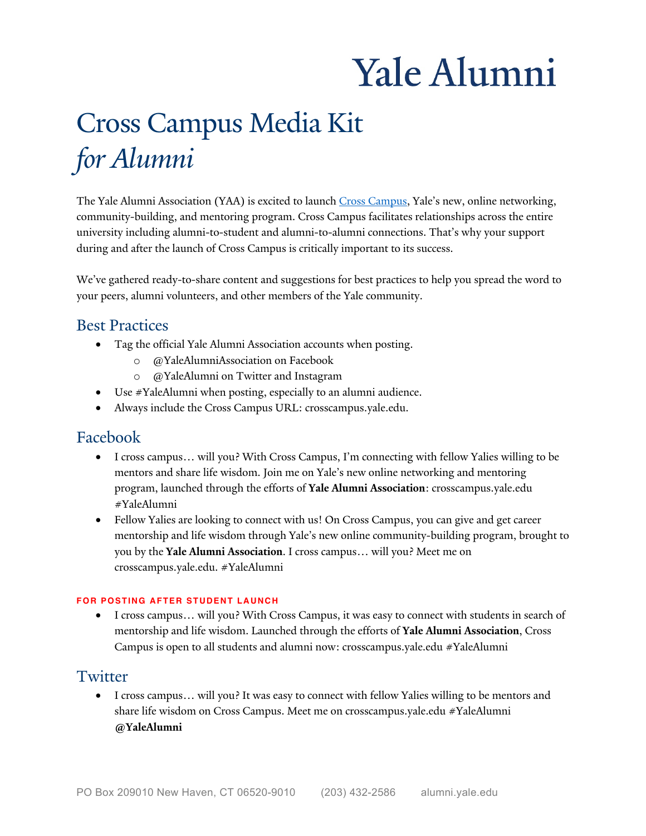# Yale Alumni

# Cross Campus Media Kit *for Alumni*

The Yale Alumni Association (YAA) is excited to launch Cross Campus, Yale's new, online networking, community-building, and mentoring program. Cross Campus facilitates relationships across the entire during and after the launch of Cross Campus is critically important to its success. university including alumni-to-student and alumni-to-alumni connections. That's why your support

 We've gathered ready-to-share content and suggestions for best practices to help you spread the word to your peers, alumni volunteers, and other members of the Yale community.

## Best Practices

- • Tag the official Yale Alumni Association accounts when posting.
	- o @YaleAlumniAssociation on Facebook
	- o @YaleAlumni on Twitter and Instagram
- Use #YaleAlumni when posting, especially to an alumni audience.
- Always include the Cross Campus URL: [crosscampus.yale.edu.](https://crosscampus.yale.edu)

# Facebook

- • I cross campus… will you? With Cross Campus, I'm connecting with fellow Yalies willing to be mentors and share life wisdom. Join me on Yale's new online networking and mentoring program, launched through the efforts of **Yale Alumni Association**: [crosscampus.yale.edu](https://crosscampus.yale.edu)  #YaleAlumni
- mentorship and life wisdom through Yale's new online community-building program, brought to  you by the **Yale Alumni Association**. I cross campus… will you? Meet me on • Fellow Yalies are looking to connect with us! On Cross Campus, you can give and get career [crosscampus.yale.edu.](https://crosscampus.yale.edu) #YaleAlumni

#### **FOR POSTING AFTER STUDENT LAUNCH**

 mentorship and life wisdom. Launched through the efforts of **Yale Alumni Association**, Cross Campus is open to all students and alumni now: [crosscampus.yale.edu](https://crosscampus.yale.edu) #YaleAlumni • I cross campus… will you? With Cross Campus, it was easy to connect with students in search of

## **Twitter**

 share life wisdom on Cross Campus. Meet me on [crosscampus.yale.edu](https://crosscampus.yale.edu) #YaleAlumni • I cross campus… will you? It was easy to connect with fellow Yalies willing to be mentors and **@YaleAlumni**